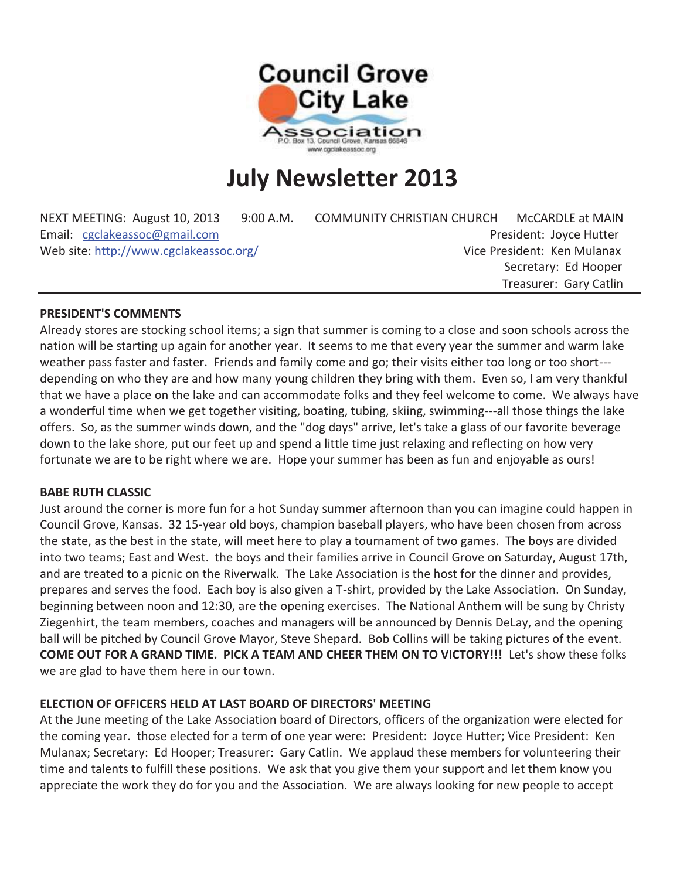

# **July Newsletter 2013**

| NEXT MEETING: August 10, 2013          | 9:00 A.M. | <b>COMMUNITY CHRISTIAN CHURCH</b> | McCARDLE at MAIN        |
|----------------------------------------|-----------|-----------------------------------|-------------------------|
| Email: cgclakeassoc@gmail.com          |           |                                   | President: Joyce Hutter |
| Web site: http://www.cgclakeassoc.org/ |           | Vice President: Ken Mulanax       |                         |
|                                        |           |                                   | Secretary: Ed Hooper    |
|                                        |           |                                   | Treasurer: Gary Catlin  |

## **PRESIDENT'S COMMENTS**

Already stores are stocking school items; a sign that summer is coming to a close and soon schools across the nation will be starting up again for another year. It seems to me that every year the summer and warm lake weather pass faster and faster. Friends and family come and go; their visits either too long or too short-- depending on who they are and how many young children they bring with them. Even so, I am very thankful that we have a place on the lake and can accommodate folks and they feel welcome to come. We always have a wonderful time when we get together visiting, boating, tubing, skiing, swimming---all those things the lake offers. So, as the summer winds down, and the "dog days" arrive, let's take a glass of our favorite beverage down to the lake shore, put our feet up and spend a little time just relaxing and reflecting on how very fortunate we are to be right where we are. Hope your summer has been as fun and enjoyable as ours!

#### **BABE RUTH CLASSIC**

Just around the corner is more fun for a hot Sunday summer afternoon than you can imagine could happen in Council Grove, Kansas. 32 15-year old boys, champion baseball players, who have been chosen from across the state, as the best in the state, will meet here to play a tournament of two games. The boys are divided into two teams; East and West. the boys and their families arrive in Council Grove on Saturday, August 17th, and are treated to a picnic on the Riverwalk. The Lake Association is the host for the dinner and provides, prepares and serves the food. Each boy is also given a T-shirt, provided by the Lake Association. On Sunday, beginning between noon and 12:30, are the opening exercises. The National Anthem will be sung by Christy Ziegenhirt, the team members, coaches and managers will be announced by Dennis DeLay, and the opening ball will be pitched by Council Grove Mayor, Steve Shepard. Bob Collins will be taking pictures of the event. **COME OUT FOR A GRAND TIME. PICK A TEAM AND CHEER THEM ON TO VICTORY!!!** Let's show these folks we are glad to have them here in our town.

## **ELECTION OF OFFICERS HELD AT LAST BOARD OF DIRECTORS' MEETING**

At the June meeting of the Lake Association board of Directors, officers of the organization were elected for the coming year. those elected for a term of one year were: President: Joyce Hutter; Vice President: Ken Mulanax; Secretary: Ed Hooper; Treasurer: Gary Catlin. We applaud these members for volunteering their time and talents to fulfill these positions. We ask that you give them your support and let them know you appreciate the work they do for you and the Association. We are always looking for new people to accept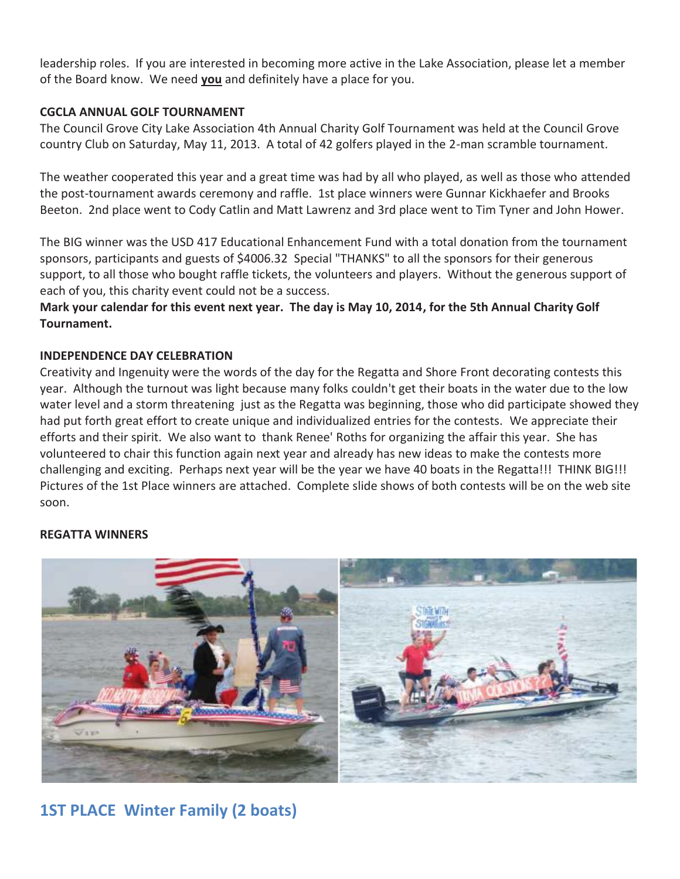leadership roles. If you are interested in becoming more active in the Lake Association, please let a member of the Board know. We need **you** and definitely have a place for you.

# **CGCLA ANNUAL GOLF TOURNAMENT**

The Council Grove City Lake Association 4th Annual Charity Golf Tournament was held at the Council Grove country Club on Saturday, May 11, 2013. A total of 42 golfers played in the 2-man scramble tournament.

The weather cooperated this year and a great time was had by all who played, as well as those who attended the post-tournament awards ceremony and raffle. 1st place winners were Gunnar Kickhaefer and Brooks Beeton. 2nd place went to Cody Catlin and Matt Lawrenz and 3rd place went to Tim Tyner and John Hower.

The BIG winner was the USD 417 Educational Enhancement Fund with a total donation from the tournament sponsors, participants and guests of \$4006.32 Special "THANKS" to all the sponsors for their generous support, to all those who bought raffle tickets, the volunteers and players. Without the generous support of each of you, this charity event could not be a success.

**Mark your calendar for this event next year. The day is May 10, 2014, for the 5th Annual Charity Golf Tournament.** 

# **INDEPENDENCE DAY CELEBRATION**

Creativity and Ingenuity were the words of the day for the Regatta and Shore Front decorating contests this year. Although the turnout was light because many folks couldn't get their boats in the water due to the low water level and a storm threatening just as the Regatta was beginning, those who did participate showed they had put forth great effort to create unique and individualized entries for the contests. We appreciate their efforts and their spirit. We also want to thank Renee' Roths for organizing the affair this year. She has volunteered to chair this function again next year and already has new ideas to make the contests more challenging and exciting. Perhaps next year will be the year we have 40 boats in the Regatta!!! THINK BIG!!! Pictures of the 1st Place winners are attached. Complete slide shows of both contests will be on the web site soon.

## **REGATTA WINNERS**



# **1ST PLACE Winter Family (2 boats)**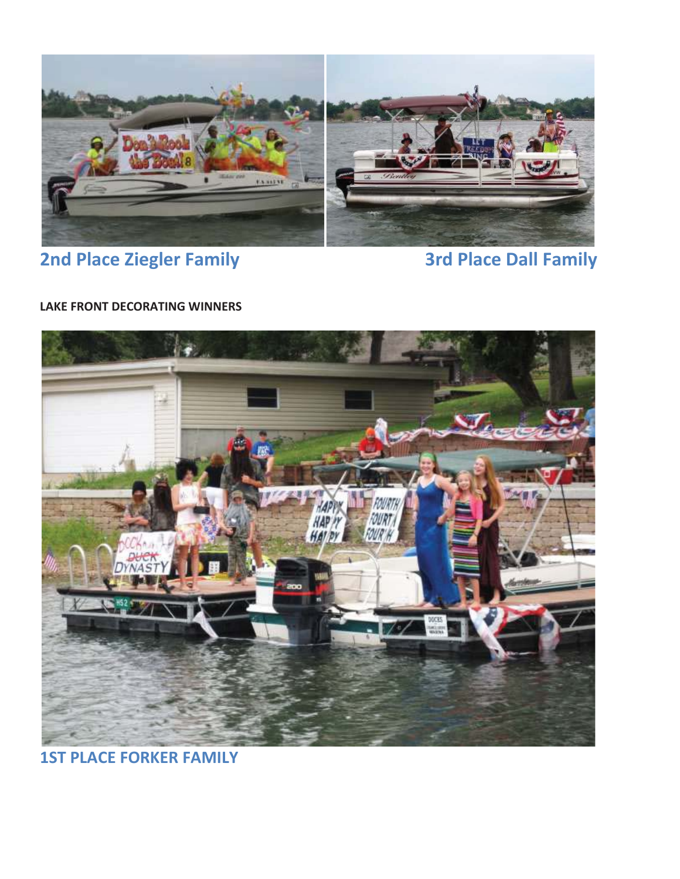

# **2nd Place Ziegler Family 19 and 2rd Place Dall Family**

# **LAKE FRONT DECORATING WINNERS**



**1ST PLACE FORKER FAMILY**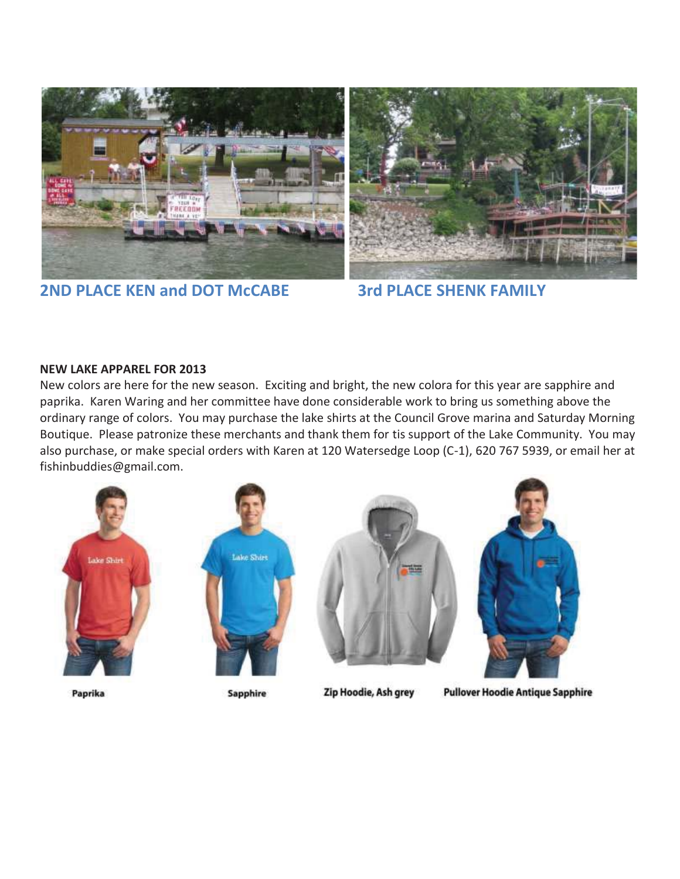

**2ND PLACE KEN and DOT McCABE 3rd PLACE SHENK FAMILY** 

## **NEW LAKE APPAREL FOR 2013**

New colors are here for the new season. Exciting and bright, the new colora for this year are sapphire and paprika. Karen Waring and her committee have done considerable work to bring us something above the ordinary range of colors. You may purchase the lake shirts at the Council Grove marina and Saturday Morning Boutique. Please patronize these merchants and thank them for tis support of the Lake Community. You may also purchase, or make special orders with Karen at 120 Watersedge Loop (C-1), 620 767 5939, or email her at fishinbuddies@gmail.com.









Paprika

Sapphire

Zip Hoodie, Ash grey

**Pullover Hoodie Antique Sapphire**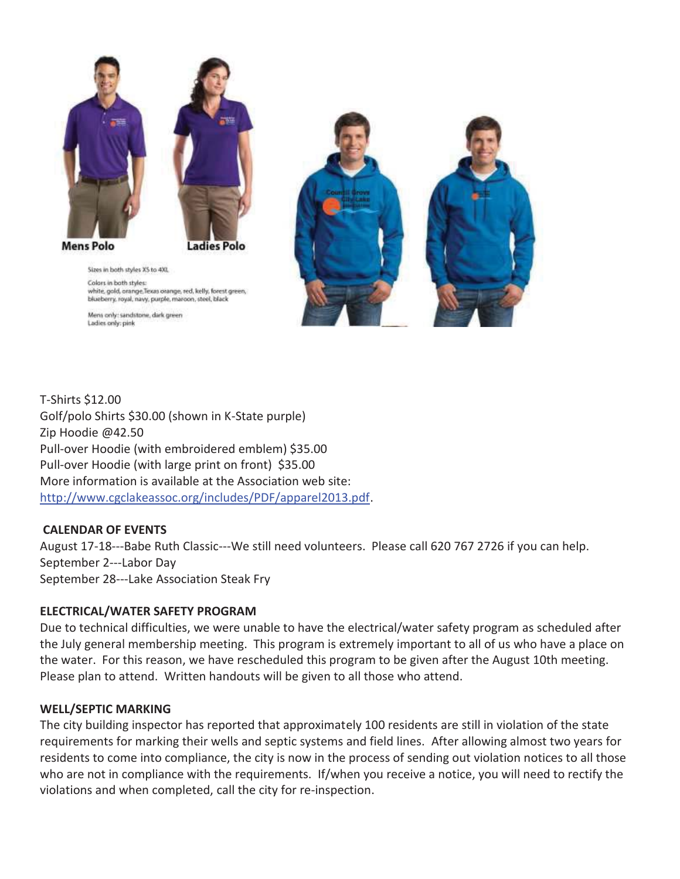

**Mens Polo** 

Ladies Polo



Sizes in both styles XS to 4XL Colors in both styles: white, gold, orange, Texas orange, red, kelly, forest green, blueberry, royal, navy, purple, maroon, steel, black

Mens only: sandstone, dark green Ladies only: pink

T-Shirts \$12.00 Golf/polo Shirts \$30.00 (shown in K-State purple) Zip Hoodie @42.50 Pull-over Hoodie (with embroidered emblem) \$35.00 Pull-over Hoodie (with large print on front) \$35.00 More information is available at the Association web site: http://www.cgclakeassoc.org/includes/PDF/apparel2013.pdf.

# **CALENDAR OF EVENTS**

August 17-18---Babe Ruth Classic---We still need volunteers. Please call 620 767 2726 if you can help. September 2---Labor Day September 28---Lake Association Steak Fry

# **ELECTRICAL/WATER SAFETY PROGRAM**

Due to technical difficulties, we were unable to have the electrical/water safety program as scheduled after the July general membership meeting. This program is extremely important to all of us who have a place on the water. For this reason, we have rescheduled this program to be given after the August 10th meeting. Please plan to attend. Written handouts will be given to all those who attend.

# **WELL/SEPTIC MARKING**

The city building inspector has reported that approximately 100 residents are still in violation of the state requirements for marking their wells and septic systems and field lines. After allowing almost two years for residents to come into compliance, the city is now in the process of sending out violation notices to all those who are not in compliance with the requirements. If/when you receive a notice, you will need to rectify the violations and when completed, call the city for re-inspection.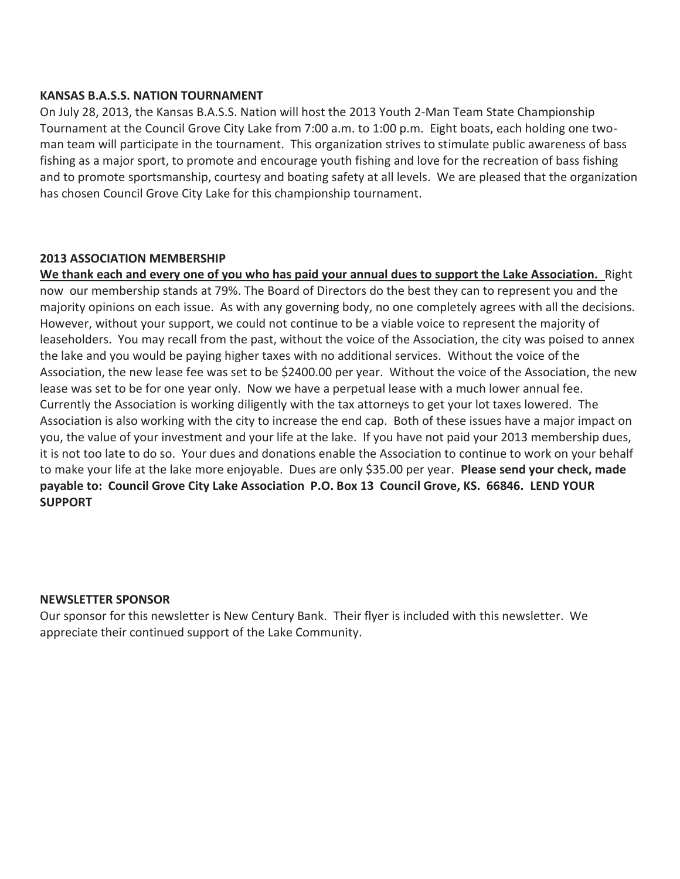#### **KANSAS B.A.S.S. NATION TOURNAMENT**

On July 28, 2013, the Kansas B.A.S.S. Nation will host the 2013 Youth 2-Man Team State Championship Tournament at the Council Grove City Lake from 7:00 a.m. to 1:00 p.m. Eight boats, each holding one twoman team will participate in the tournament. This organization strives to stimulate public awareness of bass fishing as a major sport, to promote and encourage youth fishing and love for the recreation of bass fishing and to promote sportsmanship, courtesy and boating safety at all levels. We are pleased that the organization has chosen Council Grove City Lake for this championship tournament.

#### **2013 ASSOCIATION MEMBERSHIP**

**We thank each and every one of you who has paid your annual dues to support the Lake Association.** Right now our membership stands at 79%. The Board of Directors do the best they can to represent you and the majority opinions on each issue. As with any governing body, no one completely agrees with all the decisions. However, without your support, we could not continue to be a viable voice to represent the majority of leaseholders. You may recall from the past, without the voice of the Association, the city was poised to annex the lake and you would be paying higher taxes with no additional services. Without the voice of the Association, the new lease fee was set to be \$2400.00 per year. Without the voice of the Association, the new lease was set to be for one year only. Now we have a perpetual lease with a much lower annual fee. Currently the Association is working diligently with the tax attorneys to get your lot taxes lowered. The Association is also working with the city to increase the end cap. Both of these issues have a major impact on you, the value of your investment and your life at the lake. If you have not paid your 2013 membership dues, it is not too late to do so. Your dues and donations enable the Association to continue to work on your behalf to make your life at the lake more enjoyable. Dues are only \$35.00 per year. **Please send your check, made payable to: Council Grove City Lake Association P.O. Box 13 Council Grove, KS. 66846. LEND YOUR SUPPORT**

#### **NEWSLETTER SPONSOR**

Our sponsor for this newsletter is New Century Bank. Their flyer is included with this newsletter. We appreciate their continued support of the Lake Community.